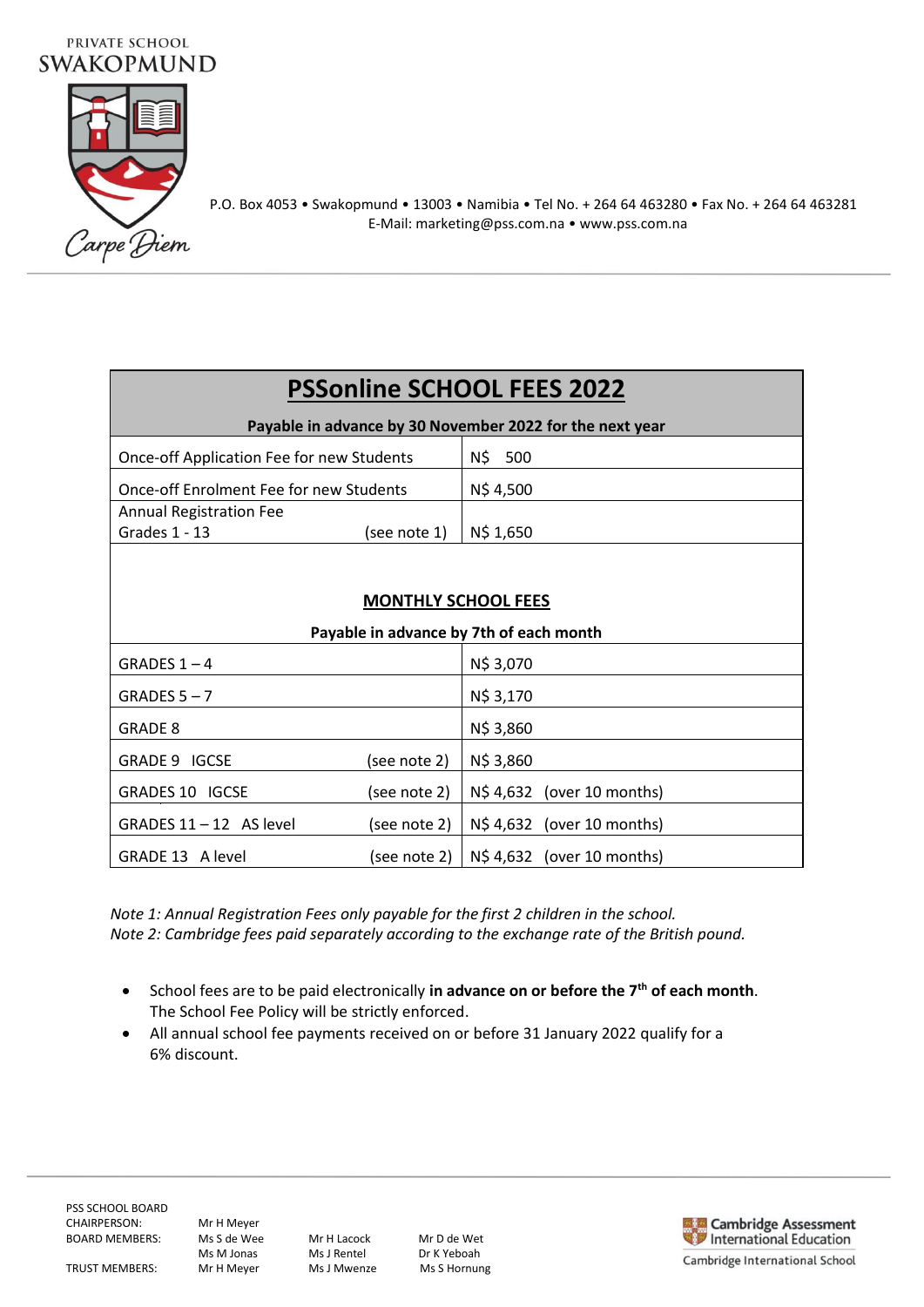# PRIVATE SCHOOL **SWAKOPMUND**



P.O. Box 4053 • Swakopmund • 13003 • Namibia • Tel No. + 264 64 463280 • Fax No. + 264 64 463281 E-Mail: marketing@pss.com.na • www.pss.com.na

# **PSSonline SCHOOL FEES 2022**

| Payable in advance by 30 November 2022 for the next year |            |  |  |
|----------------------------------------------------------|------------|--|--|
| Once-off Application Fee for new Students                | N\$<br>500 |  |  |
| Once-off Enrolment Fee for new Students                  | N\$4,500   |  |  |
| <b>Annual Registration Fee</b>                           |            |  |  |
| (see note 1)<br>Grades 1 - 13                            | N\$ 1,650  |  |  |
|                                                          |            |  |  |

## **MONTHLY SCHOOL FEES**

| Payable in advance by 7th of each month |              |                                           |
|-----------------------------------------|--------------|-------------------------------------------|
| GRADES $1 - 4$                          |              | N\$ 3,070                                 |
| GRADES $5 - 7$                          |              | N\$ 3,170                                 |
| <b>GRADE 8</b>                          |              | N\$ 3,860                                 |
| GRADE 9 IGCSE                           | (see note 2) | N\$ 3,860                                 |
| <b>GRADES 10 IGCSE</b>                  | (see note 2) | N\$ 4,632 (over 10 months)                |
| GRADES $11 - 12$ AS level               | (see note 2) | N\$ 4,632 (over 10 months)                |
| GRADE 13 A level                        |              | $(see note 2)   N$4,632 (over 10 months)$ |

*Note 1: Annual Registration Fees only payable for the first 2 children in the school. Note 2: Cambridge fees paid separately according to the exchange rate of the British pound.*

- School fees are to be paid electronically **in advance on or before the 7th of each month**. The School Fee Policy will be strictly enforced.
- All annual school fee payments received on or before 31 January 2022 qualify for a 6% discount.

Ms M Jonas Ms J Rentel Dr K Yeboah<br>Mr H Meyer Ms J Mwenze Ms S Hornung